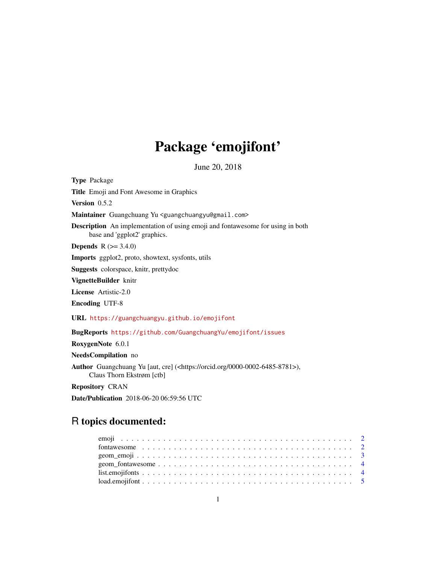# Package 'emojifont'

June 20, 2018

Type Package Title Emoji and Font Awesome in Graphics Version 0.5.2 Maintainer Guangchuang Yu <guangchuangyu@gmail.com> Description An implementation of using emoji and fontawesome for using in both base and 'ggplot2' graphics. **Depends**  $R$  ( $>= 3.4.0$ ) Imports ggplot2, proto, showtext, sysfonts, utils Suggests colorspace, knitr, prettydoc VignetteBuilder knitr License Artistic-2.0 Encoding UTF-8 URL <https://guangchuangyu.github.io/emojifont> BugReports <https://github.com/GuangchuangYu/emojifont/issues> RoxygenNote 6.0.1 NeedsCompilation no Author Guangchuang Yu [aut, cre] (<https://orcid.org/0000-0002-6485-8781>), Claus Thorn Ekstrøm [ctb]

Repository CRAN

Date/Publication 2018-06-20 06:59:56 UTC

## R topics documented: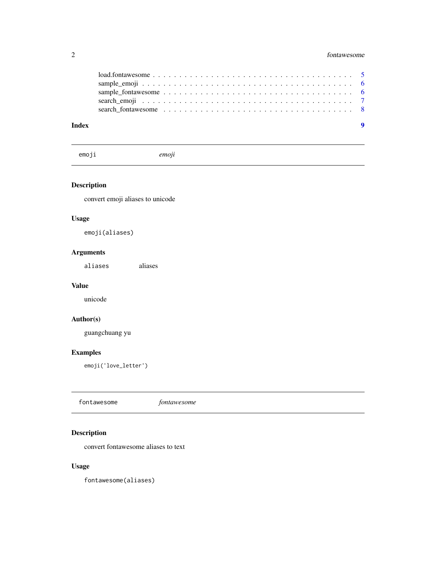<span id="page-1-0"></span>

|  |  |  |  |  |  |  |  |  |  | $load.fontawesome \ldots \ldots \ldots \ldots \ldots \ldots \ldots \ldots \ldots \ldots \ldots \ldots \ldots 5$ |  |  |  |  |  |  |
|--|--|--|--|--|--|--|--|--|--|-----------------------------------------------------------------------------------------------------------------|--|--|--|--|--|--|
|  |  |  |  |  |  |  |  |  |  |                                                                                                                 |  |  |  |  |  |  |
|  |  |  |  |  |  |  |  |  |  |                                                                                                                 |  |  |  |  |  |  |
|  |  |  |  |  |  |  |  |  |  |                                                                                                                 |  |  |  |  |  |  |
|  |  |  |  |  |  |  |  |  |  |                                                                                                                 |  |  |  |  |  |  |

emoji *emoji*

#### Description

convert emoji aliases to unicode

#### Usage

emoji(aliases)

#### Arguments

aliases aliases

#### Value

unicode

#### Author(s)

guangchuang yu

#### Examples

emoji('love\_letter')

| fontawesome | <i>tontawesome</i> |  |
|-------------|--------------------|--|
|-------------|--------------------|--|

### Description

convert fontawesome aliases to text

#### Usage

fontawesome(aliases)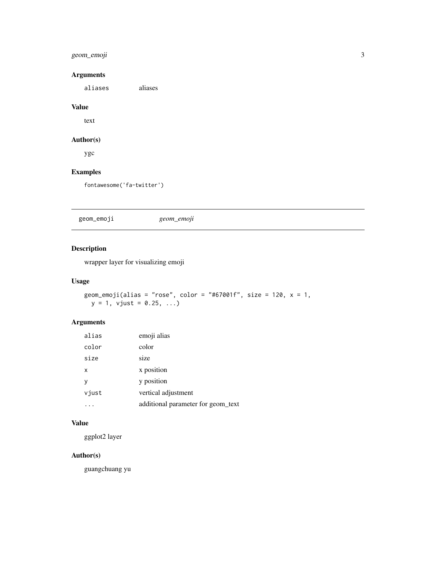#### <span id="page-2-0"></span>geom\_emoji 3

#### Arguments

aliases aliases

#### Value

text

#### Author(s)

ygc

#### Examples

fontawesome('fa-twitter')

geom\_emoji *geom\_emoji*

#### Description

wrapper layer for visualizing emoji

#### Usage

```
geom_emoji(alias = "rose", color = "#67001f", size = 120, x = 1,
y = 1, vjust = 0.25, ...)
```
#### Arguments

| alias | emoji alias                        |
|-------|------------------------------------|
| color | color                              |
| size  | size                               |
| x     | x position                         |
| ٧     | y position                         |
| vjust | vertical adjustment                |
|       | additional parameter for geom text |

#### Value

ggplot2 layer

#### Author(s)

guangchuang yu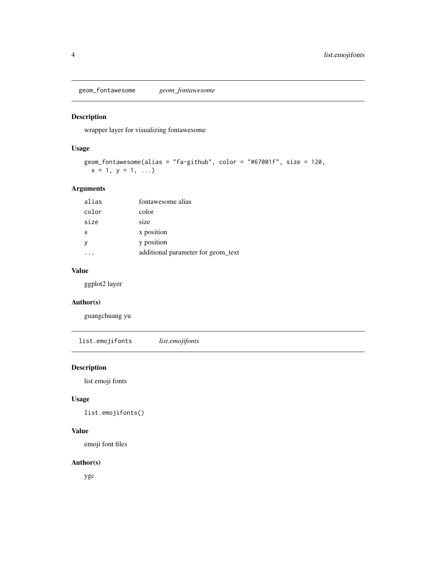<span id="page-3-0"></span>geom\_fontawesome *geom\_fontawesome*

#### Description

wrapper layer for visualizing fontawesome

#### Usage

```
geom_fontawesome(alias = "fa-github", color = "#67001f", size = 120,
x = 1, y = 1, ...
```
#### Arguments

| alias | fontawesome alias                  |
|-------|------------------------------------|
| color | color                              |
| size  | size                               |
| x     | x position                         |
|       | y position                         |
|       | additional parameter for geom_text |

#### Value

ggplot2 layer

#### Author(s)

guangchuang yu

list.emojifonts *list.emojifonts*

#### Description

list emoji fonts

#### Usage

list.emojifonts()

#### Value

emoji font files

#### Author(s)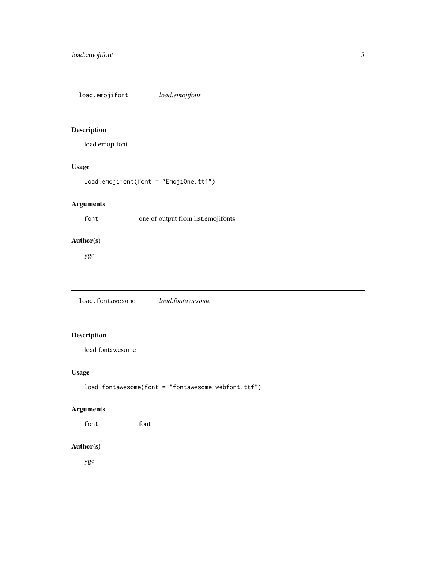<span id="page-4-0"></span>load.emojifont *load.emojifont*

#### Description

load emoji font

#### Usage

load.emojifont(font = "EmojiOne.ttf")

#### Arguments

font one of output from list.emojifonts

#### Author(s)

ygc

load.fontawesome *load.fontawesome*

#### Description

load fontawesome

#### Usage

load.fontawesome(font = "fontawesome-webfont.ttf")

#### Arguments

font font

#### Author(s)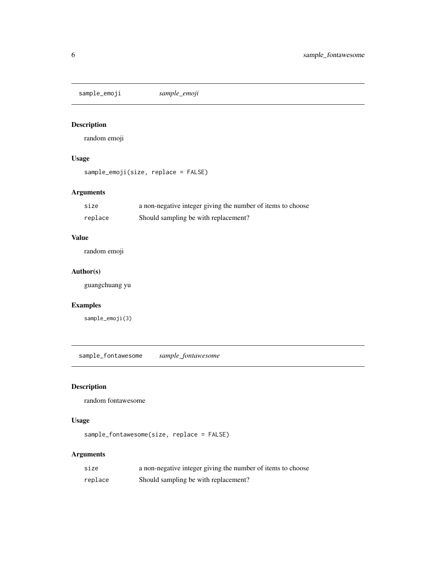<span id="page-5-0"></span>sample\_emoji *sample\_emoji*

#### Description

random emoji

#### Usage

```
sample_emoji(size, replace = FALSE)
```
#### Arguments

| size    | a non-negative integer giving the number of items to choose |
|---------|-------------------------------------------------------------|
| replace | Should sampling be with replacement?                        |

#### Value

random emoji

#### Author(s)

guangchuang yu

#### Examples

sample\_emoji(3)

sample\_fontawesome *sample\_fontawesome*

#### Description

random fontawesome

#### Usage

sample\_fontawesome(size, replace = FALSE)

#### Arguments

| size    | a non-negative integer giving the number of items to choose |
|---------|-------------------------------------------------------------|
| replace | Should sampling be with replacement?                        |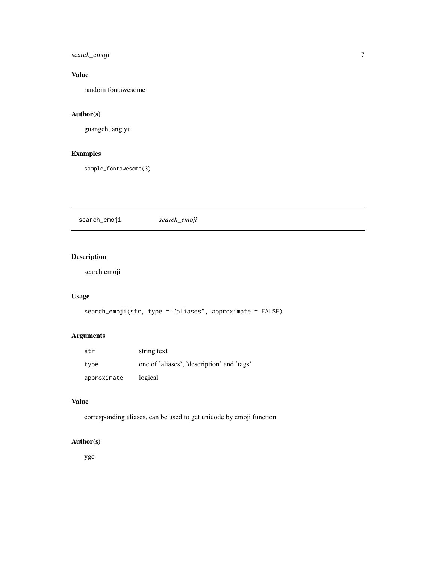<span id="page-6-0"></span>search\_emoji 7

#### Value

random fontawesome

#### Author(s)

guangchuang yu

#### Examples

sample\_fontawesome(3)

search\_emoji *search\_emoji*

#### Description

search emoji

#### Usage

```
search_emoji(str, type = "aliases", approximate = FALSE)
```
#### Arguments

| str         | string text                                |
|-------------|--------------------------------------------|
| type        | one of 'aliases', 'description' and 'tags' |
| approximate | logical                                    |

#### Value

corresponding aliases, can be used to get unicode by emoji function

#### Author(s)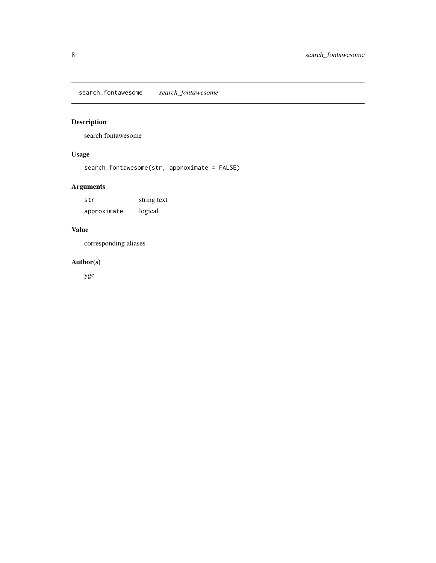<span id="page-7-0"></span>search\_fontawesome *search\_fontawesome*

#### Description

search fontawesome

#### Usage

search\_fontawesome(str, approximate = FALSE)

#### Arguments

str string text approximate logical

#### Value

corresponding aliases

#### Author(s)